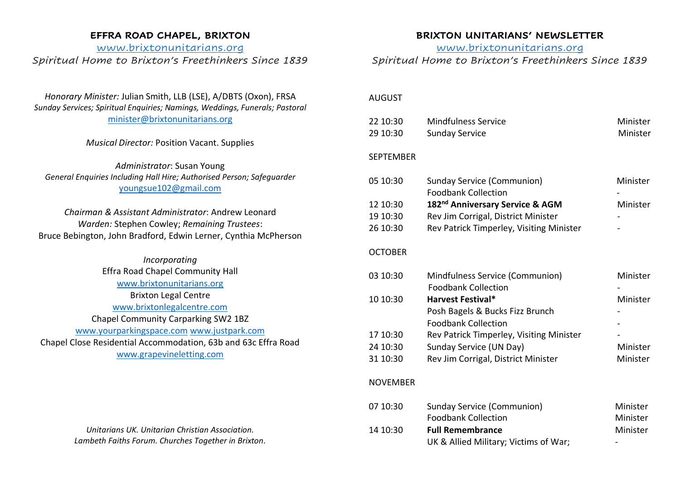## **EFFRA ROAD CHAPEL, BRIXTON**

# [www.brixtonunitarians.org](http://www.brixtonunitarians.org/) *Spiritual Home to Brixton's Freethinkers Since 1839*

# *Honorary Minister:* Julian Smith, LLB (LSE), A/DBTS (Oxon), FRSA *Sunday Services; Spiritual Enquiries; Namings, Weddings, Funerals; Pastoral* [minister@brixtonunitarians.org](mailto:minister@brixtonunitarians.org)

### *Musical Director:* Position Vacant. Supplies

*Administrator*: Susan Young *General Enquiries Including Hall Hire; Authorised Person; Safeguarder* [youngsue102@gmail.com](mailto:youngsue102@gmail.com)

*Chairman & Assistant Administrator*: Andrew Leonard *Warden:* Stephen Cowley; *Remaining Trustees*: Bruce Bebington, John Bradford, Edwin Lerner, Cynthia McPherson

*Incorporating* Effra Road Chapel Community Hall [www.brixtonunitarians.org](http://www.brixtonunitarians.org/) Brixton Legal Centre [www.brixtonlegalcentre.com](http://www.brixtonlegalcentre.com/) Chapel Community Carparking SW2 1BZ [www.yourparkingspace.com](http://www.youngparkingspace.com/) [www.justpark.com](http://www.justpark.com/) Chapel Close Residential Accommodation, 63b and 63c Effra Road [www.grapevineletting.com](http://www.grapevineletting.com/)

> *Unitarians UK. Unitarian Christian Association. Lambeth Faiths Forum. Churches Together in Brixton.*

## **BRIXTON UNITARIANS' NEWSLETTER**

[www.brixtonunitarians.org](http://www.brixtonunitarians.org/)

# *Spiritual Home to Brixton's Freethinkers Since 1839*

#### AUGUST

| 22 10:30<br>29 10:30 | <b>Mindfulness Service</b><br><b>Sunday Service</b>             | Minister<br>Minister |
|----------------------|-----------------------------------------------------------------|----------------------|
| <b>SEPTEMBER</b>     |                                                                 |                      |
| 05 10:30             | Sunday Service (Communion)<br><b>Foodbank Collection</b>        | Minister             |
| 12 10:30             | 182 <sup>nd</sup> Anniversary Service & AGM                     | Minister             |
| 19 10:30             | Rev Jim Corrigal, District Minister                             |                      |
| 26 10:30             | Rev Patrick Timperley, Visiting Minister                        |                      |
| <b>OCTOBER</b>       |                                                                 |                      |
| 03 10:30             | Mindfulness Service (Communion)                                 | Minister             |
|                      | <b>Foodbank Collection</b>                                      |                      |
| 10 10:30             | <b>Harvest Festival*</b>                                        | Minister             |
|                      | Posh Bagels & Bucks Fizz Brunch                                 |                      |
|                      | <b>Foodbank Collection</b>                                      |                      |
| 17 10:30             | Rev Patrick Timperley, Visiting Minister                        |                      |
| 24 10:30             | Sunday Service (UN Day)                                         | Minister             |
| 31 10:30             | Rev Jim Corrigal, District Minister                             | Minister             |
| <b>NOVEMBER</b>      |                                                                 |                      |
| 07 10:30             | <b>Sunday Service (Communion)</b><br><b>Foodbank Collection</b> | Minister<br>Minister |
| 14 10:30             | <b>Full Remembrance</b>                                         | Minister             |

UK & Allied Military; Victims of War;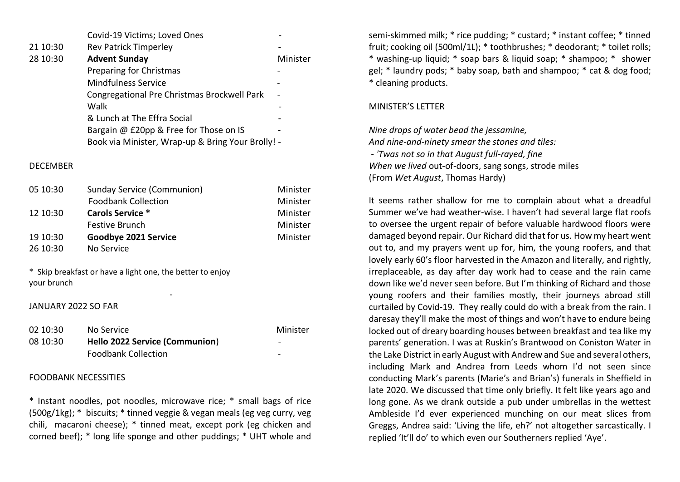|          | Covid-19 Victims; Loved Ones                      |          |
|----------|---------------------------------------------------|----------|
| 21 10:30 | <b>Rev Patrick Timperley</b>                      |          |
| 28 10:30 | <b>Advent Sunday</b>                              | Minister |
|          | <b>Preparing for Christmas</b>                    |          |
|          | <b>Mindfulness Service</b>                        |          |
|          | Congregational Pre Christmas Brockwell Park       |          |
|          | Walk                                              |          |
|          | & Lunch at The Effra Social                       |          |
|          | Bargain @ £20pp & Free for Those on IS            |          |
|          | Book via Minister, Wrap-up & Bring Your Brolly! - |          |

#### **DECEMBER**

| 05 10:30 | Sunday Service (Communion) | Minister |
|----------|----------------------------|----------|
|          | <b>Foodbank Collection</b> | Minister |
| 12 10:30 | <b>Carols Service *</b>    | Minister |
|          | <b>Festive Brunch</b>      | Minister |
| 19 10:30 | Goodbye 2021 Service       | Minister |
| 26 10:30 | No Service                 |          |

\* Skip breakfast or have a light one, the better to enjoy your brunch

### JANUARY 2022 SO FAR

**- All and All and All and All and All and All and All and All and All and All and All and All and All and All** 

| 02 10:30 | No Service                     | Minister                 |
|----------|--------------------------------|--------------------------|
| 08 10:30 | Hello 2022 Service (Communion) | $\overline{\phantom{0}}$ |
|          | <b>Foodbank Collection</b>     | -                        |

#### FOODBANK NECESSITIES

\* Instant noodles, pot noodles, microwave rice; \* small bags of rice (500g/1kg); \* biscuits; \* tinned veggie & vegan meals (eg veg curry, veg chili, macaroni cheese); \* tinned meat, except pork (eg chicken and corned beef); \* long life sponge and other puddings; \* UHT whole and

semi-skimmed milk; \* rice pudding; \* custard; \* instant coffee; \* tinned fruit; cooking oil (500ml/1L); \* toothbrushes; \* deodorant; \* toilet rolls; \* washing-up liquid; \* soap bars & liquid soap; \* shampoo; \* shower gel; \* laundry pods; \* baby soap, bath and shampoo; \* cat & dog food; \* cleaning products.

#### MINISTER'S LETTER

*Nine drops of water bead the jessamine, And nine-and-ninety smear the stones and tiles: - 'Twas not so in that August full-rayed, fine When we lived* out-of-doors, sang songs, strode miles (From *Wet August*, Thomas Hardy)

It seems rather shallow for me to complain about what a dreadful Summer we've had weather-wise. I haven't had several large flat roofs to oversee the urgent repair of before valuable hardwood floors were damaged beyond repair. Our Richard did that for us. How my heart went out to, and my prayers went up for, him, the young roofers, and that lovely early 60's floor harvested in the Amazon and literally, and rightly, irreplaceable, as day after day work had to cease and the rain came down like we'd never seen before. But I'm thinking of Richard and those young roofers and their families mostly, their journeys abroad still curtailed by Covid-19. They really could do with a break from the rain. I daresay they'll make the most of things and won't have to endure being locked out of dreary boarding houses between breakfast and tea like my parents' generation. I was at Ruskin's Brantwood on Coniston Water in the Lake District in early August with Andrew and Sue and several others, including Mark and Andrea from Leeds whom I'd not seen since conducting Mark's parents (Marie's and Brian's) funerals in Sheffield in late 2020. We discussed that time only briefly. It felt like years ago and long gone. As we drank outside a pub under umbrellas in the wettest Ambleside I'd ever experienced munching on our meat slices from Greggs, Andrea said: 'Living the life, eh?' not altogether sarcastically. I replied 'It'll do' to which even our Southerners replied 'Aye'.